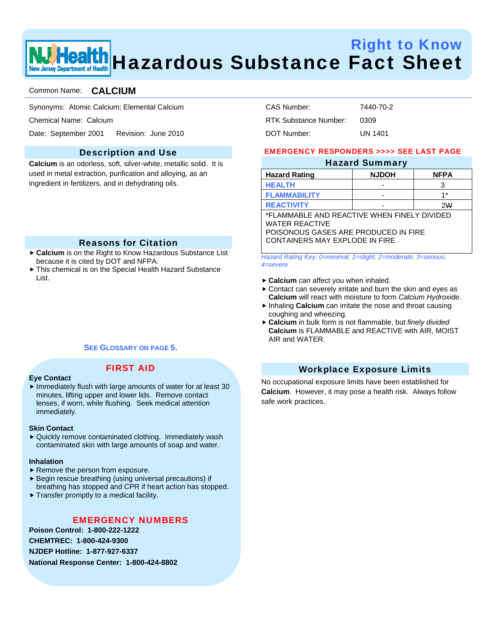# Right to Know **Balth** Hazardous Substance Fact Sheet w Jersey Department of Health

# Common Name: **CALCIUM**

Synonyms: Atomic Calcium; Elemental Calcium

Chemical Name: Calcium

Date: September 2001 Revision: June 2010

# Description and Use

**Calcium** is an odorless, soft, silver-white, metallic solid. It is used in metal extraction, purification and alloying, as an ingredient in fertilizers, and in dehydrating oils.

## Reasons for Citation

- ▶ Calcium is on the Right to Know Hazardous Substance List because it is cited by DOT and NFPA.
- $\blacktriangleright$  This chemical is on the Special Health Hazard Substance List.

#### **SEE GLOSSARY ON PAGE 5.**

# FIRST AID

### **Eye Contact**

 $\blacktriangleright$  Immediately flush with large amounts of water for at least 30 minutes, lifting upper and lower lids. Remove contact lenses, if worn, while flushing. Seek medical attention immediately.

#### **Skin Contact**

 $\blacktriangleright$  Quickly remove contaminated clothing. Immediately wash contaminated skin with large amounts of soap and water.

#### **Inhalation**

- $\blacktriangleright$  Remove the person from exposure.
- $\blacktriangleright$  Begin rescue breathing (using universal precautions) if breathing has stopped and CPR if heart action has stopped.
- $\blacktriangleright$  Transfer promptly to a medical facility.

# EMERGENCY NUMBERS

**Poison Control: 1-800-222-1222** 

**CHEMTREC: 1-800-424-9300 NJDEP Hotline: 1-877-927-6337** 

**National Response Center: 1-800-424-8802** 

| CAS Number:           | 7440-70-2 |
|-----------------------|-----------|
| RTK Substance Number: | 0309      |
| DOT Number:           | UN 1401   |

## EMERGENCY RESPONDERS >>>> SEE LAST PAGE

| <b>Hazard Summary</b>                                                                                                                          |              |             |  |  |  |  |  |
|------------------------------------------------------------------------------------------------------------------------------------------------|--------------|-------------|--|--|--|--|--|
| <b>Hazard Rating</b>                                                                                                                           | <b>NJDOH</b> | <b>NFPA</b> |  |  |  |  |  |
| <b>HEALTH</b>                                                                                                                                  |              | З           |  |  |  |  |  |
| <b>FLAMMABILITY</b>                                                                                                                            |              | $1*$        |  |  |  |  |  |
| <b>REACTIVITY</b>                                                                                                                              |              | 2W          |  |  |  |  |  |
| *FLAMMABLE AND REACTIVE WHEN FINELY DIVIDED<br><b>WATER REACTIVE</b><br>POISONOUS GASES ARE PRODUCED IN FIRE<br>CONTAINERS MAY EXPLODE IN FIRE |              |             |  |  |  |  |  |

*Hazard Rating Key: 0=minimal; 1=slight; 2=moderate; 3=serious; 4=severe*

- **F** Calcium can affect you when inhaled.
- $\triangleright$  Contact can severely irritate and burn the skin and eyes as **Calcium** will react with moisture to form *Calcium Hydroxide*.
- **h** Inhaling **Calcium** can irritate the nose and throat causing coughing and wheezing.
- f **Calcium** in bulk form is not flammable, but *finely divided* **Calcium** is FLAMMABLE and REACTIVE with AIR, MOIST AIR and WATER.

## Workplace Exposure Limits

No occupational exposure limits have been established for **Calcium**. However, it may pose a health risk. Always follow safe work practices.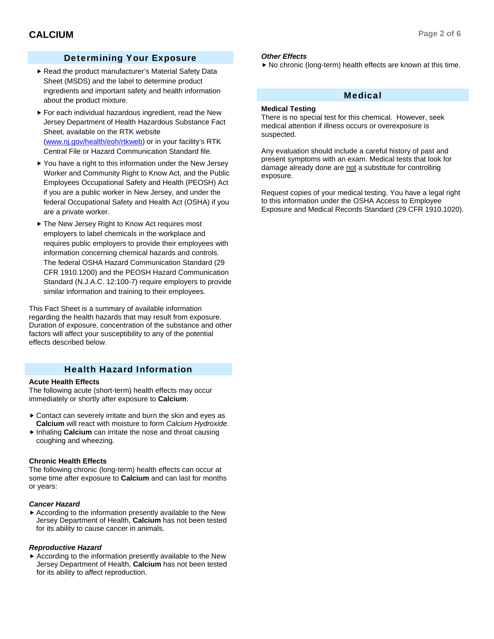# Determining Your Exposure

- Read the product manufacturer's Material Safety Data Sheet (MSDS) and the label to determine product ingredients and important safety and health information about the product mixture.
- $\blacktriangleright$  For each individual hazardous ingredient, read the New Jersey Department of Health Hazardous Substance Fact Sheet, available on the RTK website (www.nj.gov/health/eoh/rtkweb) or in your facility's RTK Central File or Hazard Communication Standard file.
- $\blacktriangleright$  You have a right to this information under the New Jersey Worker and Community Right to Know Act, and the Public Employees Occupational Safety and Health (PEOSH) Act if you are a public worker in New Jersey, and under the federal Occupational Safety and Health Act (OSHA) if you are a private worker.
- ▶ The New Jersey Right to Know Act requires most employers to label chemicals in the workplace and requires public employers to provide their employees with information concerning chemical hazards and controls. The federal OSHA Hazard Communication Standard (29 CFR 1910.1200) and the PEOSH Hazard Communication Standard (N.J.A.C. 12:100-7) require employers to provide similar information and training to their employees.

This Fact Sheet is a summary of available information regarding the health hazards that may result from exposure. Duration of exposure, concentration of the substance and other factors will affect your susceptibility to any of the potential effects described below.

# Health Hazard Information

#### **Acute Health Effects**

The following acute (short-term) health effects may occur immediately or shortly after exposure to **Calcium**:

- $\triangleright$  Contact can severely irritate and burn the skin and eyes as **Calcium** will react with moisture to form *Calcium Hydroxide*.
- **F** Inhaling **Calcium** can irritate the nose and throat causing coughing and wheezing.

### **Chronic Health Effects**

The following chronic (long-term) health effects can occur at some time after exposure to **Calcium** and can last for months or years:

#### *Cancer Hazard*

 $\blacktriangleright$  According to the information presently available to the New Jersey Department of Health, **Calcium** has not been tested for its ability to cause cancer in animals.

#### *Reproductive Hazard*

 $\blacktriangleright$  According to the information presently available to the New Jersey Department of Health, **Calcium** has not been tested for its ability to affect reproduction.

#### *Other Effects*

 $\triangleright$  No chronic (long-term) health effects are known at this time.

# Medical

### **Medical Testing**

There is no special test for this chemical. However, seek medical attention if illness occurs or overexposure is suspected.

Any evaluation should include a careful history of past and present symptoms with an exam. Medical tests that look for damage already done are not a substitute for controlling exposure.

Request copies of your medical testing. You have a legal right to this information under the OSHA Access to Employee Exposure and Medical Records Standard (29 CFR 1910.1020).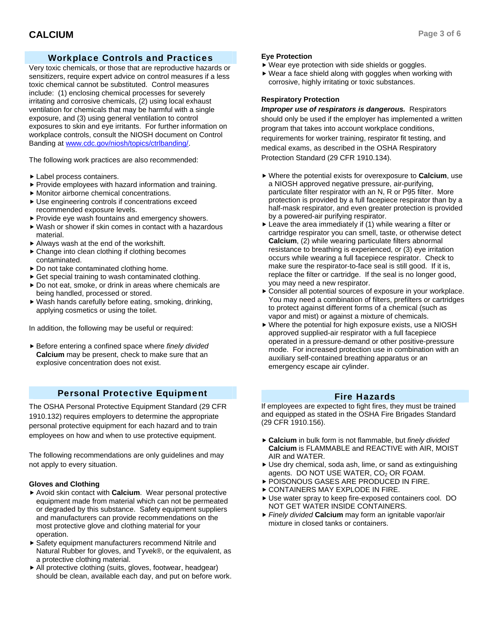# Workplace Controls and Practices

Very toxic chemicals, or those that are reproductive hazards or sensitizers, require expert advice on control measures if a less toxic chemical cannot be substituted. Control measures include: (1) enclosing chemical processes for severely irritating and corrosive chemicals, (2) using local exhaust ventilation for chemicals that may be harmful with a single exposure, and (3) using general ventilation to control exposures to skin and eye irritants. For further information on workplace controls, consult the NIOSH document on Control Banding at www.cdc.gov/niosh/topics/ctrlbanding/.

The following work practices are also recommended:

- $\blacktriangleright$  Label process containers.
- $\blacktriangleright$  Provide employees with hazard information and training.
- $\blacktriangleright$  Monitor airborne chemical concentrations.
- $\blacktriangleright$  Use engineering controls if concentrations exceed recommended exposure levels.
- $\blacktriangleright$  Provide eye wash fountains and emergency showers.
- $\blacktriangleright$  Wash or shower if skin comes in contact with a hazardous material.
- $\blacktriangleright$  Always wash at the end of the workshift.
- $\triangleright$  Change into clean clothing if clothing becomes contaminated.
- $\triangleright$  Do not take contaminated clothing home.
- $\triangleright$  Get special training to wash contaminated clothing.
- $\triangleright$  Do not eat, smoke, or drink in areas where chemicals are being handled, processed or stored.
- $\blacktriangleright$  Wash hands carefully before eating, smoking, drinking, applying cosmetics or using the toilet.

In addition, the following may be useful or required:

f Before entering a confined space where *finely divided* **Calcium** may be present, check to make sure that an explosive concentration does not exist.

# Personal Protective Equipment

The OSHA Personal Protective Equipment Standard (29 CFR 1910.132) requires employers to determine the appropriate personal protective equipment for each hazard and to train employees on how and when to use protective equipment.

The following recommendations are only guidelines and may not apply to every situation.

#### **Gloves and Clothing**

- ▶ Avoid skin contact with **Calcium**. Wear personal protective equipment made from material which can not be permeated or degraded by this substance. Safety equipment suppliers and manufacturers can provide recommendations on the most protective glove and clothing material for your operation.
- $\triangleright$  Safety equipment manufacturers recommend Nitrile and Natural Rubber for gloves, and Tyvek®, or the equivalent, as a protective clothing material.
- All protective clothing (suits, gloves, footwear, headgear) should be clean, available each day, and put on before work.

#### **Eye Protection**

- $\blacktriangleright$  Wear eye protection with side shields or goggles.
- $\blacktriangleright$  Wear a face shield along with goggles when working with corrosive, highly irritating or toxic substances.

### **Respiratory Protection**

*Improper use of respirators is dangerous.* Respirators should only be used if the employer has implemented a written program that takes into account workplace conditions, requirements for worker training, respirator fit testing, and medical exams, as described in the OSHA Respiratory Protection Standard (29 CFR 1910.134).

- Where the potential exists for overexposure to **Calcium**, use a NIOSH approved negative pressure, air-purifying, particulate filter respirator with an N, R or P95 filter. More protection is provided by a full facepiece respirator than by a half-mask respirator, and even greater protection is provided by a powered-air purifying respirator.
- $\blacktriangleright$  Leave the area immediately if (1) while wearing a filter or cartridge respirator you can smell, taste, or otherwise detect **Calcium**, (2) while wearing particulate filters abnormal resistance to breathing is experienced, or (3) eye irritation occurs while wearing a full facepiece respirator. Check to make sure the respirator-to-face seal is still good. If it is, replace the filter or cartridge. If the seal is no longer good, you may need a new respirator.
- $\triangleright$  Consider all potential sources of exposure in your workplace. You may need a combination of filters, prefilters or cartridges to protect against different forms of a chemical (such as vapor and mist) or against a mixture of chemicals.
- $\blacktriangleright$  Where the potential for high exposure exists, use a NIOSH approved supplied-air respirator with a full facepiece operated in a pressure-demand or other positive-pressure mode. For increased protection use in combination with an auxiliary self-contained breathing apparatus or an emergency escape air cylinder.

# Fire Hazards

If employees are expected to fight fires, they must be trained and equipped as stated in the OSHA Fire Brigades Standard (29 CFR 1910.156).

- **Example 2** Calcium in bulk form is not flammable, but *finely divided* **Calcium** is FLAMMABLE and REACTIVE with AIR, MOIST AIR and WATER.
- $\blacktriangleright$  Use dry chemical, soda ash, lime, or sand as extinguishing agents. DO NOT USE WATER, CO<sub>2</sub> OR FOAM.
- **POISONOUS GASES ARE PRODUCED IN FIRE.**
- **EXPLODE IN FIRE.**
- ▶ Use water spray to keep fire-exposed containers cool. DO NOT GET WATER INSIDE CONTAINERS.
- **Finely divided Calcium** may form an ignitable vapor/air mixture in closed tanks or containers.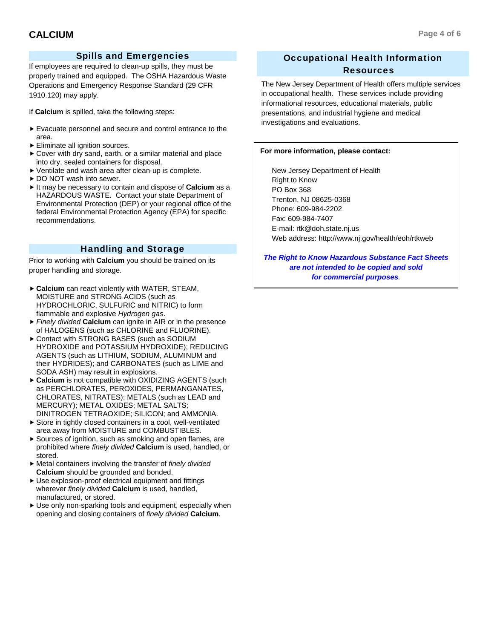# Spills and Emergencies

If employees are required to clean-up spills, they must be properly trained and equipped. The OSHA Hazardous Waste Operations and Emergency Response Standard (29 CFR 1910.120) may apply.

If **Calcium** is spilled, take the following steps:

- $\blacktriangleright$  Evacuate personnel and secure and control entrance to the area.
- $\blacktriangleright$  Eliminate all ignition sources.
- $\blacktriangleright$  Cover with dry sand, earth, or a similar material and place into dry, sealed containers for disposal.
- $\triangleright$  Ventilate and wash area after clean-up is complete.
- ▶ DO NOT wash into sewer.
- It may be necessary to contain and dispose of **Calcium** as a HAZARDOUS WASTE. Contact your state Department of Environmental Protection (DEP) or your regional office of the federal Environmental Protection Agency (EPA) for specific recommendations.

# Handling and Storage

Prior to working with **Calcium** you should be trained on its proper handling and storage.

- **Calcium** can react violently with WATER, STEAM, MOISTURE and STRONG ACIDS (such as HYDROCHLORIC, SULFURIC and NITRIC) to form flammable and explosive *Hydrogen gas*.
- **Finely divided Calcium** can ignite in AIR or in the presence of HALOGENS (such as CHLORINE and FLUORINE).
- ▶ Contact with STRONG BASES (such as SODIUM HYDROXIDE and POTASSIUM HYDROXIDE); REDUCING AGENTS (such as LITHIUM, SODIUM, ALUMINUM and their HYDRIDES); and CARBONATES (such as LIME and SODA ASH) may result in explosions.
- ▶ Calcium is not compatible with OXIDIZING AGENTS (such as PERCHLORATES, PEROXIDES, PERMANGANATES, CHLORATES, NITRATES); METALS (such as LEAD and MERCURY); METAL OXIDES; METAL SALTS; DINITROGEN TETRAOXIDE; SILICON; and AMMONIA.
- $\triangleright$  Store in tightly closed containers in a cool, well-ventilated area away from MOISTURE and COMBUSTIBLES.
- $\blacktriangleright$  Sources of ignition, such as smoking and open flames, are prohibited where *finely divided* **Calcium** is used, handled, or stored.
- $\blacktriangleright$  Metal containers involving the transfer of *finely divided* **Calcium** should be grounded and bonded.
- $\blacktriangleright$  Use explosion-proof electrical equipment and fittings wherever *finely divided* **Calcium** is used, handled, manufactured, or stored.
- $\blacktriangleright$  Use only non-sparking tools and equipment, especially when opening and closing containers of *finely divided* **Calcium**.

# Occupational Health Information Resources

The New Jersey Department of Health offers multiple services in occupational health. These services include providing informational resources, educational materials, public presentations, and industrial hygiene and medical investigations and evaluations.

#### **For more information, please contact:**

 New Jersey Department of Health Right to Know PO Box 368 Trenton, NJ 08625-0368 Phone: 609-984-2202 Fax: 609-984-7407 E-mail: rtk@doh.state.nj.us Web address: http://www.nj.gov/health/eoh/rtkweb

*The Right to Know Hazardous Substance Fact Sheets are not intended to be copied and sold for commercial purposes.*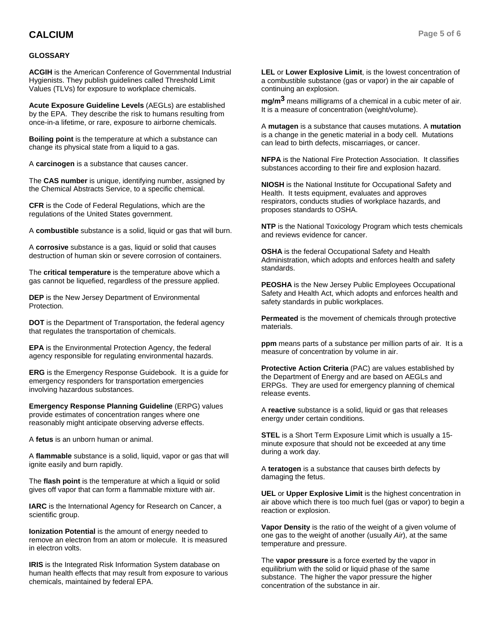### **GLOSSARY**

**ACGIH** is the American Conference of Governmental Industrial Hygienists. They publish guidelines called Threshold Limit Values (TLVs) for exposure to workplace chemicals.

**Acute Exposure Guideline Levels** (AEGLs) are established by the EPA. They describe the risk to humans resulting from once-in-a lifetime, or rare, exposure to airborne chemicals.

**Boiling point** is the temperature at which a substance can change its physical state from a liquid to a gas.

A **carcinogen** is a substance that causes cancer.

The **CAS number** is unique, identifying number, assigned by the Chemical Abstracts Service, to a specific chemical.

**CFR** is the Code of Federal Regulations, which are the regulations of the United States government.

A **combustible** substance is a solid, liquid or gas that will burn.

A **corrosive** substance is a gas, liquid or solid that causes destruction of human skin or severe corrosion of containers.

The **critical temperature** is the temperature above which a gas cannot be liquefied, regardless of the pressure applied.

**DEP** is the New Jersey Department of Environmental Protection.

**DOT** is the Department of Transportation, the federal agency that regulates the transportation of chemicals.

**EPA** is the Environmental Protection Agency, the federal agency responsible for regulating environmental hazards.

**ERG** is the Emergency Response Guidebook. It is a guide for emergency responders for transportation emergencies involving hazardous substances.

**Emergency Response Planning Guideline** (ERPG) values provide estimates of concentration ranges where one reasonably might anticipate observing adverse effects.

A **fetus** is an unborn human or animal.

A **flammable** substance is a solid, liquid, vapor or gas that will ignite easily and burn rapidly.

The **flash point** is the temperature at which a liquid or solid gives off vapor that can form a flammable mixture with air.

**IARC** is the International Agency for Research on Cancer, a scientific group.

**Ionization Potential** is the amount of energy needed to remove an electron from an atom or molecule. It is measured in electron volts.

**IRIS** is the Integrated Risk Information System database on human health effects that may result from exposure to various chemicals, maintained by federal EPA.

**LEL** or **Lower Explosive Limit**, is the lowest concentration of a combustible substance (gas or vapor) in the air capable of continuing an explosion.

**mg/m3** means milligrams of a chemical in a cubic meter of air. It is a measure of concentration (weight/volume).

A **mutagen** is a substance that causes mutations. A **mutation** is a change in the genetic material in a body cell. Mutations can lead to birth defects, miscarriages, or cancer.

**NFPA** is the National Fire Protection Association. It classifies substances according to their fire and explosion hazard.

**NIOSH** is the National Institute for Occupational Safety and Health. It tests equipment, evaluates and approves respirators, conducts studies of workplace hazards, and proposes standards to OSHA.

**NTP** is the National Toxicology Program which tests chemicals and reviews evidence for cancer.

**OSHA** is the federal Occupational Safety and Health Administration, which adopts and enforces health and safety standards.

**PEOSHA** is the New Jersey Public Employees Occupational Safety and Health Act, which adopts and enforces health and safety standards in public workplaces.

**Permeated** is the movement of chemicals through protective materials.

**ppm** means parts of a substance per million parts of air. It is a measure of concentration by volume in air.

**Protective Action Criteria** (PAC) are values established by the Department of Energy and are based on AEGLs and ERPGs. They are used for emergency planning of chemical release events.

A **reactive** substance is a solid, liquid or gas that releases energy under certain conditions.

**STEL** is a Short Term Exposure Limit which is usually a 15 minute exposure that should not be exceeded at any time during a work day.

A **teratogen** is a substance that causes birth defects by damaging the fetus.

**UEL** or **Upper Explosive Limit** is the highest concentration in air above which there is too much fuel (gas or vapor) to begin a reaction or explosion.

**Vapor Density** is the ratio of the weight of a given volume of one gas to the weight of another (usually *Air*), at the same temperature and pressure.

The **vapor pressure** is a force exerted by the vapor in equilibrium with the solid or liquid phase of the same substance. The higher the vapor pressure the higher concentration of the substance in air.